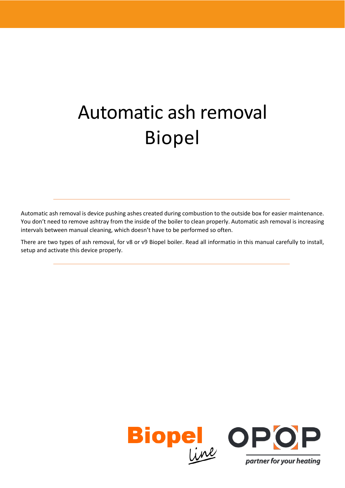# Automatic ash removal Biopel

Automatic ash removal is device pushing ashes created during combustion to the outside box for easier maintenance. You don't need to remove ashtray from the inside of the boiler to clean properly. Automatic ash removal is increasing intervals between manual cleaning, which doesn't have to be performed so often.

There are two types of ash removal, for v8 or v9 Biopel boiler. Read all informatio in this manual carefully to install, setup and activate this device properly.

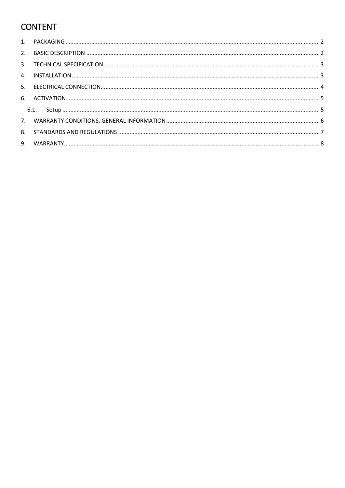# **CONTENT**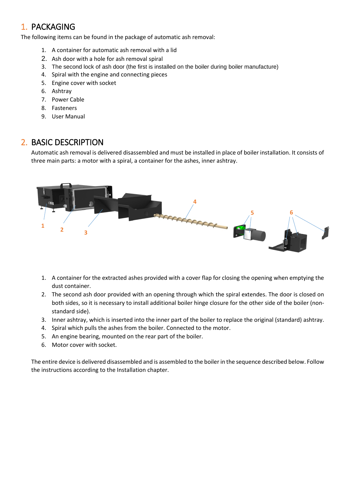## <span id="page-2-0"></span>1. PACKAGING

The following items can be found in the package of automatic ash removal:

- 1. A container for automatic ash removal with a lid
- 2. Ash door with a hole for ash removal spiral
- 3. The second lock of ash door (the first is installed on the boiler during boiler manufacture)
- 4. Spiral with the engine and connecting pieces
- 5. Engine cover with socket
- 6. Ashtray
- 7. Power Cable
- 8. Fasteners
- 9. User Manual

## <span id="page-2-1"></span>2. BASIC DESCRIPTION

Automatic ash removal is delivered disassembled and must be installed in place of boiler installation. It consists of three main parts: a motor with a spiral, a container for the ashes, inner ashtray.



- 1. A container for the extracted ashes provided with a cover flap for closing the opening when emptying the dust container.
- 2. The second ash door provided with an opening through which the spiral extendes. The door is closed on both sides, so it is necessary to install additional boiler hinge closure for the other side of the boiler (nonstandard side).
- 3. Inner ashtray, which is inserted into the inner part of the boiler to replace the original (standard) ashtray.
- 4. Spiral which pulls the ashes from the boiler. Connected to the motor.
- 5. An engine bearing, mounted on the rear part of the boiler.
- 6. Motor cover with socket.

The entire device is delivered disassembled and is assembled to the boiler in the sequence described below. Follow the instructions according to the Installation chapter.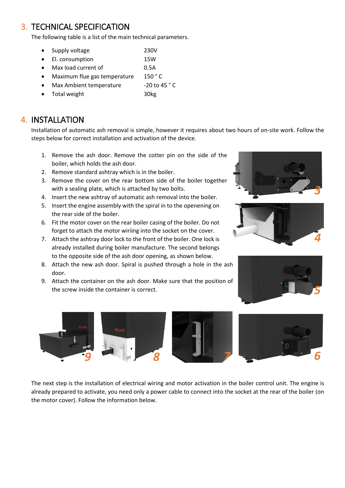## <span id="page-3-0"></span>3. TECHNICAL SPECIFICATION

The following table is a list of the main technical parameters.

- Supply voltage 230V
- El. consumption 15W
- Max load current of 0.5A
- Maximum flue gas temperature 150 °C
- Max Ambient temperature -20 to 45 °C
- Total weight 30kg

# <span id="page-3-1"></span>4. INSTALLATION

Installation of automatic ash removal is simple, however it requires about two hours of on-site work. Follow the steps below for correct installation and activation of the device.

- 1. Remove the ash door. Remove the cotter pin on the side of the boiler, which holds the ash door.
- 2. Remove standard ashtray which is in the boiler.
- 3. Remove the cover on the rear bottom side of the boiler together with a sealing plate, which is attached by two bolts.
- 4. Insert the new ashtray of automatic ash removal into the boiler.
- 5. Insert the engine assembly with the spiral in to the openening on the rear side of the boiler.
- 6. Fit the motor cover on the rear boiler casing of the boiler. Do not forget to attach the motor wiriing into the socket on the cover.
- 7. Attach the ashtray door lock to the front of the boiler. One lock is already installed during boiler manufacture. The second belongs to the opposite side of the ash door opening, as shown below.
- 8. Attach the new ash door. Spiral is pushed through a hole in the ash door.
- 9. Attach the container on the ash door. Make sure that the position of the screw inside the container is correct.









The next step is the installation of electrical wiring and motor activation in the boiler control unit. The engine is already prepared to activate, you need only a power cable to connect into the socket at the rear of the boiler (on the motor cover). Follow the information below.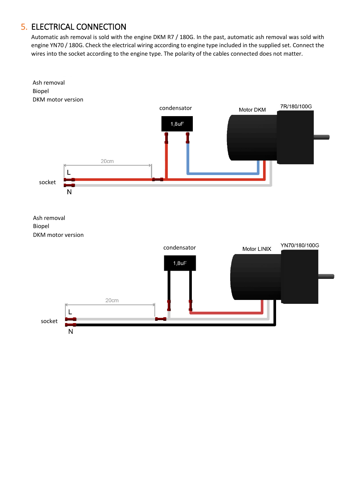## <span id="page-4-0"></span>5. ELECTRICAL CONNECTION

Automatic ash removal is sold with the engine DKM R7 / 180G. In the past, automatic ash removal was sold with engine YN70 / 180G. Check the electrical wiring according to engine type included in the supplied set. Connect the wires into the socket according to the engine type. The polarity of the cables connected does not matter.

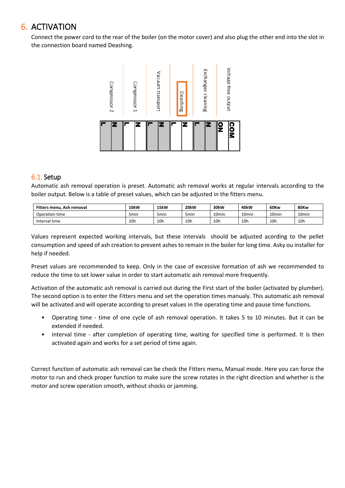## <span id="page-5-0"></span>6. ACTIVATION

Connect the power cord to the rear of the boiler (on the motor cover) and also plug the other end into the slot in the connection board named Deashing.



## <span id="page-5-1"></span>6.1. Setup

Automatic ash removal operation is preset. Automatic ash removal works at regular intervals according to the boiler output. Below is a table of preset values, which can be adjusted in the fitters menu.

| Fitters menu. Ash removal | <b>10kW</b>     | 15kW            | 20 <sub>k</sub> w | 30kW              | 40 <sub>k</sub> W | 60Kw            | 80Kw              |
|---------------------------|-----------------|-----------------|-------------------|-------------------|-------------------|-----------------|-------------------|
| Operation time            | 5min            | 5min            | 5 <sub>min</sub>  | 10 <sub>min</sub> | 10 <sub>min</sub> | 10min           | 10 <sub>min</sub> |
| Interval time             | 10 <sub>h</sub> | 10 <sub>h</sub> | 10 <sub>h</sub>   | 10 <sub>h</sub>   | 10 <sub>h</sub>   | 10 <sub>h</sub> | 10 <sub>h</sub>   |

Values represent expected working intervals, but these intervals should be adjusted acording to the pellet consumption and speed of ash creation to prevent ashes to remain in the boiler for long time. Asky ou installer for help if needed.

Preset values are recommended to keep. Only in the case of excessive formation of ash we recommended to reduce the time to set lower value in order to start automatic ash removal more frequently.

Activation of the automatic ash removal is carried out during the First start of the boiler (activated by plumber). The second option is to enter the Fitters menu and set the operation times manualy. This automatic ash removal will be activated and will operate according to preset values in the operating time and pause time functions.

- Operating time time of one cycle of ash removal operation. It takes 5 to 10 minutes. But it can be extended if needed.
- Interval time after completion of operating time, waiting for specified time is performed. It is then activated again and works for a set period of time again.

Correct function of automatic ash removal can be check the Fitters menu, Manual mode. Here you can force the motor to run and check proper function to make sure the screw rotates in the right direction and whether is the motor and screw operation smooth, without shocks or jamming.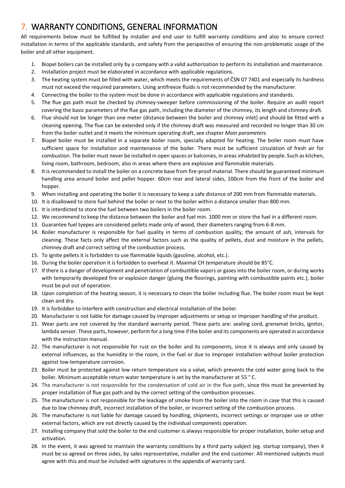## <span id="page-6-0"></span>7. WARRANTY CONDITIONS, GENERAL INFORMATION

All requirements below must be fulfilled by installer and end user to fulfill warranty conditions and also to ensure correct installation in terms of the applicable standards, and safety from the perspective of ensuring the non-problematic usage of the boiler and all other equipment.

- 1. Biopel boilers can be installed only by a company with a valid authorization to perform its installation and maintenance.
- 2. Installation project must be elaborated in accordance with applicable regulations.
- 3. The heating system must be filled with water, which meets the requirements of ČSN 07 7401 and especially its hardness must not exceed the required parameters. Using antifreeze fluids is not recommended by the manufacturer.
- 4. Connecting the boiler to the system must be done in accordance with applicable regulations and standards.
- 5. The flue gas path must be checked by chimney-sweeper before commissioning of the boiler. Require an audit report covering the basic parameters of the flue gas path, including the diameter of the chimney, its length and chimney draft.
- 6. Flue should not be longer than one meter (distance between the boiler and chimney inlet) and should be fitted with a cleaning opening. The flue can be extended only if the chimney draft was measured and recorded no longer than 30 cm from the boiler outlet and it meets the minimum operating draft, see chapter *Main parameters*.
- 7. Biopel boiler must be installed in a separate boiler room, specially adapted for heating. The boiler room must have sufficient space for installation and maintenance of the boiler. There must be sufficient circulation of fresh air for combustion. The boiler must never be installed in open spaces or balconies, in areas inhabited by people. Such as kitchen, living room, bathroom, bedroom, also in areas where there are explosive and flammable materials.
- 8. It is recommended to install the boiler on a concrete base from fire-proof material. There should be guaranteed minimum handling area around boiler and pellet hopper. 60cm rear and lateral sides, 100cm from the front of the boiler and hopper.
- 9. When installing and operating the boiler it is necessary to keep a safe distance of 200 mm from flammable materials.
- 10. It is disallowed to store fuel behind the boiler or next to the boiler within a distance smaller than 800 mm.
- 11. It is interdicted to store the fuel between two boilers in the boiler room.
- 12. We recommend to keep the distance between the boiler and fuel min. 1000 mm or store the fuel in a different room.
- 13. Guarantee fuel tyepes are considered pellets made only of wood, their diameters ranging from 6-8 mm.
- 14. Boiler manufacturer is responsible for fuel quality in terms of combustion quality, the amount of ash, intervals for cleaning. These facts only affect the external factors such as the quality of pellets, dust and moisture in the pellets, chimney draft and correct setting of the combustion process.
- 15. To ignite pellets it is forbidden to use flammable liquids (gasoline, alcohol, etc.).
- 16. During the boiler operation it is forbidden to overheat it. Maximal CH temperature should be 85°C.
- 17. If there is a danger of development and penetration of combustible vapors or gases into the boiler room, or during works with temporarily developed fire or explosion danger (gluing the floorings, painting with combustible paints etc.), boiler must be put out of operation.
- 18. Upon completion of the heating season, it is necessary to clean the boiler including flue. The boiler room must be kept clean and dry.
- 19. It is forbidden to interfere with construction and electrical installation of the boiler.
- 20. Manufacturer is not liable for damage caused by improper adjustments or setup or improper handling of the product.
- 21. Wear parts are not covered by the standard warranty period. These parts are: sealing cord, grenamat bricks, ignitor, lambda sensor. These parts, however, perform for a long time if the boiler and its components are operated in accordance with the instruction manual.
- 22. The manufacturer is not responsible for rust on the boiler and its components, since it is always and only caused by external influences, as the humidity in the room, in the fuel or due to improper installation without boiler protection against low-temperature corrosion.
- 23. Boiler must be protected against low return temperature via a valve, which prevents the cold water going back to the boiler. Minimum acceptable return water temperature is set by the manufacturer at 55 ° C.
- 24. The manufacturer is not responsible for the condensation of cold air in the flue path, since this must be prevented by proper installation of flue gas path and by the correct setting of the combustion processes.
- 25. The manufacturer is not responsible for the leackage of smoke from the boiler into the room in case that this is caused due to low chimney draft, incorrect installation of the boiler, or incorrect setting of the combustion process.
- 26. The manufacturer is not liable for damage caused by handling, shipments, incorrect settings or improper use or other external factors, which are not directly caused by the individual components operation.
- 27. Installing company that sold the boiler to the end customer is always responsible for proper installation, boiler setup and activation.
- 28. In the event, it was agreed to maintain the warranty conditions by a third party subject (eg. startup company), then it must be so agreed on three sides, by sales representative, installer and the end customer. All mentioned subjects must agree with this and must be included with signatures in the appendix of warranty card.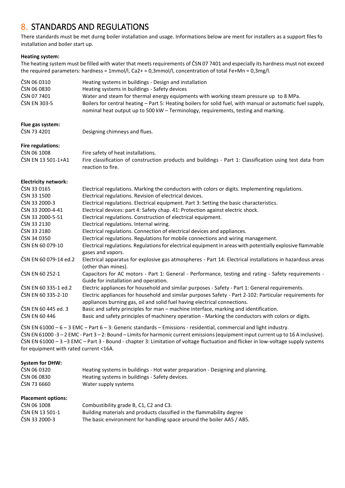## <span id="page-7-0"></span>8. STANDARDS AND REGULATIONS

There standards must be met durng boiler installation and usage. Informations below are ment for installers as a support files fo installation and boiler start up.

#### **Heating system:**

The heating system must be filled with water that meets requirements of ČSN 07 7401 and especially its hardness must not exceed the required parameters: hardness = 1mmol/l, Ca2+ = 0,3mmol/l, concentration of total Fe+Mn = 0,3mg/l.

| ČSN 06 0310                 | Heating systems in buildings - Design and installation                                                                                                                               |
|-----------------------------|--------------------------------------------------------------------------------------------------------------------------------------------------------------------------------------|
| ČSN 06 0830                 | Heating systems in buildings - Safety devices                                                                                                                                        |
| ČSN 07 7401                 | Water and steam for thermal energy equipments with working steam pressure up to 8 MPa.                                                                                               |
| ČSN EN 303-5                | Boilers for central heating - Part 5: Heating boilers for solid fuel, with manual or automatic fuel supply,                                                                          |
|                             | nominal heat output up to 500 kW - Terminology, requirements, testing and marking.                                                                                                   |
| Flue gas system:            |                                                                                                                                                                                      |
| ČSN 73 4201                 | Designing chimneys and flues.                                                                                                                                                        |
| <b>Fire regulations:</b>    |                                                                                                                                                                                      |
| ČSN 06 1008                 | Fire safety of heat installations.                                                                                                                                                   |
| ČSN EN 13 501-1+A1          | Fire classification of construction products and buildings - Part 1: Classification using test data from<br>reaction to fire.                                                        |
| <b>Electricity network:</b> |                                                                                                                                                                                      |
| ČSN 33 0165                 | Electrical regulations. Marking the conductors with colors or digits. Implementing regulations.                                                                                      |
| ČSN 33 1500                 | Electrical regulations. Revision of electrical devices.                                                                                                                              |
| ČSN 33 2000-3               | Electrical regulations. Electrical equipment. Part 3: Setting the basic characteristics.                                                                                             |
| ČSN 33 2000-4-41            | Electrical devices: part 4: Safety chap. 41: Protection against electric shock.                                                                                                      |
| ČSN 33 2000-5-51            | Electrical regulations. Construction of electrical equipment.                                                                                                                        |
| ČSN 33 2130                 | Electrical regulations. Internal wiring.                                                                                                                                             |
| ČSN 33 2180                 | Electrical regulations. Connection of electrical devices and appliances.                                                                                                             |
| ČSN 34 0350                 | Electrical regulations. Regulations for mobile connections and wiring management.                                                                                                    |
| ČSN EN 60 079-10            | Electrical regulations. Regulations for electrical equipment in areas with potentially explosive flammable<br>gases and vapors.                                                      |
| ČSN EN 60 079-14 ed.2       | Electrical apparatus for explosive gas atmospheres - Part 14: Electrical installations in hazardous areas<br>(other than mines).                                                     |
| ČSN EN 60 252-1             | Capacitors for AC motors - Part 1: General - Performance, testing and rating - Safety requirements -<br>Guide for installation and operation.                                        |
| ČSN EN 60 335-1 ed.2        | Electric appliances for household and similar purposes - Safety - Part 1: General requirements.                                                                                      |
| ČSN EN 60 335-2-10          | Electric appliances for household and similar purposes Safety - Part 2-102: Particular requirements for<br>appliances burning gas, oil and solid fuel having electrical connections. |
| ČSN EN 60 445 ed. 3         | Basic and safety principles for man - machine interface, marking and identification.                                                                                                 |
| ČSN EN 60 446               | Basic and safety principles of machinery operation - Marking the conductors with colors or digits.                                                                                   |

ČSN EN 61000 – 6 – 3 EMC – Part 6 – 3: Generic standards – Emissions - residential, commercial and light industry. ČSN EN 61000 -3 – 2 EMC - Part 3 – 2: Bound – Limits for harmonic current emissions (equipment input current up to 16 A inclusive). ČSN EN 61000 – 3 –3 EMC – Part 3 - Bound - chapter 3: Limitation of voltage fluctuation and flicker in low-voltage supply systems for equipment with rated current <16A.

#### **System for DHW:**

| ČSN 06 0320                         | Heating systems in buildings - Hot water preparation - Designing and planning. |  |  |  |  |
|-------------------------------------|--------------------------------------------------------------------------------|--|--|--|--|
| ČSN 06 0830                         | Heating systems in buildings - Safety devices.                                 |  |  |  |  |
| ČSN 73 6660<br>Water supply systems |                                                                                |  |  |  |  |
| <b>Placement options:</b>           |                                                                                |  |  |  |  |
| ČSN 06 1008                         | Combustibility grade B, C1, C2 and C3.                                         |  |  |  |  |
| ČSN EN 13 501-1                     | Building materials and products classified in the flammability degree          |  |  |  |  |
| ČSN 33 2000-3                       | The basic environment for handling space around the boiler AA5 / AB5.          |  |  |  |  |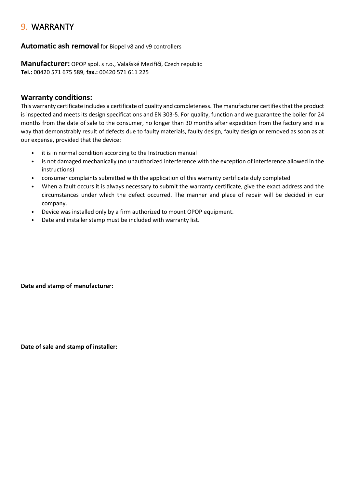## <span id="page-8-0"></span>9. WARRANTY

### **Automatic ash removal** for Biopel v8 and v9 controllers

**Manufacturer:** OPOP spol. s r.o., Valašské Meziříčí, Czech republic **Tel.:** 00420 571 675 589, **fax.:** 00420 571 611 225

### **Warranty conditions:**

This warranty certificate includes a certificate of quality and completeness. The manufacturer certifies that the product is inspected and meets its design specifications and EN 303-5. For quality, function and we guarantee the boiler for 24 months from the date of sale to the consumer, no longer than 30 months after expedition from the factory and in a way that demonstrably result of defects due to faulty materials, faulty design, faulty design or removed as soon as at our expense, provided that the device:

- it is in normal condition according to the Instruction manual
- is not damaged mechanically (no unauthorized interference with the exception of interference allowed in the instructions)
- consumer complaints submitted with the application of this warranty certificate duly completed
- When a fault occurs it is always necessary to submit the warranty certificate, give the exact address and the circumstances under which the defect occurred. The manner and place of repair will be decided in our company.
- Device was installed only by a firm authorized to mount OPOP equipment.
- Date and installer stamp must be included with warranty list.

**Date and stamp of manufacturer:** 

**Date of sale and stamp of installer:**